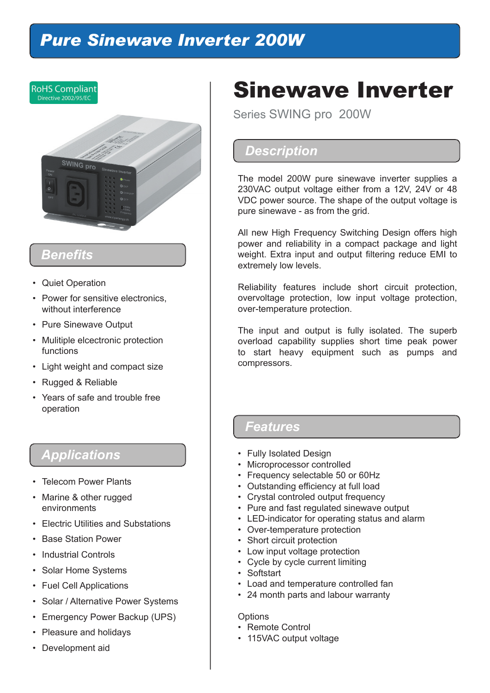# *Pure Sinewave Inverter 200W*



# *Benefits*

- Quiet Operation
- Power for sensitive electronics, without interference
- Pure Sinewave Output
- Mulitiple elcectronic protection functions
- Light weight and compact size
- Rugged & Reliable
- Years of safe and trouble free operation

# *Applications*

- Telecom Power Plants
- Marine & other rugged environments
- Electric Utilities and Substations
- Base Station Power
- Industrial Controls
- Solar Home Systems
- Fuel Cell Applications
- Solar / Alternative Power Systems
- Emergency Power Backup (UPS)
- Pleasure and holidays
- Development aid

# Sinewave Inverter

Series SWING pro 200W

## *Description*

The model 200W pure sinewave inverter supplies a 230VAC output voltage either from a 12V, 24V or 48 VDC power source. The shape of the output voltage is pure sinewave - as from the grid.

All new High Frequency Switching Design offers high power and reliability in a compact package and light weight. Extra input and output filtering reduce EMI to extremely low levels.

Reliability features include short circuit protection, overvoltage protection, low input voltage protection, over-temperature protection.

The input and output is fully isolated. The superb overload capability supplies short time peak power to start heavy equipment such as pumps and compressors.

### *Features*

- Fully Isolated Design
- Microprocessor controlled
- Frequency selectable 50 or 60Hz
- Outstanding efficiency at full load
- Crystal controled output frequency
- Pure and fast regulated sinewave output
- LED-indicator for operating status and alarm
- Over-temperature protection
- Short circuit protection
- Low input voltage protection
- Cycle by cycle current limiting
- Softstart
- Load and temperature controlled fan
- 24 month parts and labour warranty

#### **Options**

- Remote Control
- 115VAC output voltage